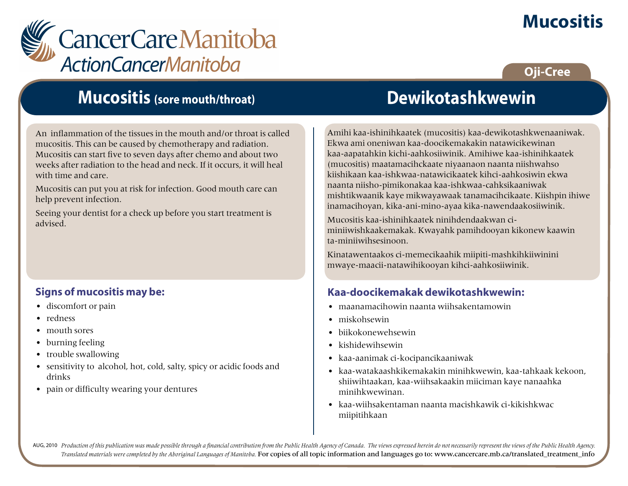# **Mucositis**



## **Oji-Cree**

## **Mucositis (sore mouth/throat)**

An inflammation of the tissues in the mouth and/or throat is called mucositis. This can be caused by chemotherapy and radiation. Mucositis can start five to seven days after chemo and about two weeks after radiation to the head and neck. If it occurs, it will heal with time and care.

Mucositis can put you at risk for infection. Good mouth care can help prevent infection.

Seeing your dentist for a check up before you start treatment is advised.

### **Signs of mucositis may be:**

- discomfort or pain
- redness
- mouth sores
- burning feeling
- trouble swallowing
- sensitivity to alcohol, hot, cold, salty, spicy or acidic foods and drinks
- pain or difficulty wearing your dentures

## **Dewikotashkwewin**

Amihi kaa-ishinihkaatek (mucositis) kaa-dewikotashkwenaaniwak. Ekwa ami oneniwan kaa-doocikemakakin natawicikewinan kaa-aapatahkin kichi-aahkosiiwinik. Amihiwe kaa-ishinihkaatek (mucositis) maatamacihckaate niyaanaon naanta niishwahso kiishikaan kaa-ishkwaa-natawicikaatek kihci-aahkosiwin ekwa naanta niisho-pimikonakaa kaa-ishkwaa-cahksikaaniwak mishtikwaanik kaye mikwayawaak tanamacihcikaate. Kiishpin ihiwe inamacihoyan, kika-ani-mino-ayaa kika-nawendaakosiiwinik.

Mucositis kaa-ishinihkaatek ninihdendaakwan ciminiiwishkaakemakak. Kwayahk pamihdooyan kikonew kaawin ta-miniiwihsesinoon.

Kinatawentaakos ci-memecikaahik miipiti-mashkihkiiwinini mwaye-maacii-natawihikooyan kihci-aahkosiiwinik.

#### **Kaa-doocikemakak dewikotashkwewin:**

- maanamacihowin naanta wiihsakentamowin
- miskohsewin
- biikokonewehsewin
- kishidewihsewin
- kaa-aanimak ci-kocipancikaaniwak
- kaa-watakaashkikemakakin minihkwewin, kaa-tahkaak kekoon, shiiwihtaakan, kaa-wiihsakaakin miiciman kaye nanaahka minihkwewinan.
- kaa-wiihsakentaman naanta macishkawik ci-kikishkwac miipitihkaan

AUG, 2010 Production of this publication was made possible through a financial contribution from the Public Health Agency of Canada. The views expressed herein do not necessarily represent the views of the Public Health Ag *Translated materials were completed by the Aboriginal Languages of Manitoba.* For copies of all topic information and languages go to: www.cancercare.mb.ca/translated\_treatment\_info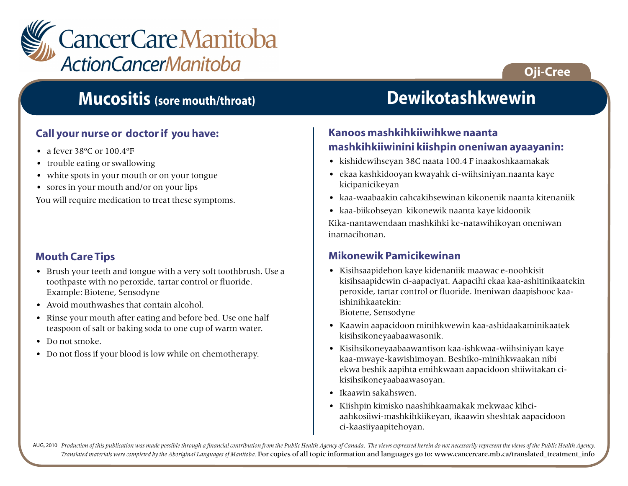

### **Call your nurse or doctor if you have:**

- a fever 38°C or 100.4°F
- trouble eating or swallowing
- white spots in your mouth or on your tongue
- sores in your mouth and/or on your lips

You will require medication to treat these symptoms.

#### **Mouth Care Tips**

- Brush your teeth and tongue with a very soft toothbrush. Use a toothpaste with no peroxide, tartar control or fluoride. Example: Biotene, Sensodyne
- Avoid mouthwashes that contain alcohol.
- Rinse your mouth after eating and before bed. Use one half teaspoon of salt or baking soda to one cup of warm water.
- Do not smoke.
- Do not floss if your blood is low while on chemotherapy.

## **Mucositis (sore mouth/throat) Dewikotashkwewin**

**Oji-Cree**

#### **Kanoos mashkihkiiwihkwe naanta mashkihkiiwinini kiishpin oneniwan ayaayanin:**

- kishidewihseyan 38C naata 100.4 F inaakoshkaamakak
- ekaa kashkidooyan kwayahk ci-wiihsiniyan.naanta kaye kicipanicikeyan
- kaa-waabaakin cahcakihsewinan kikonenik naanta kitenaniik
- kaa-biikohseyan kikonewik naanta kaye kidoonik

Kika-nantawendaan mashkihki ke-natawihikoyan oneniwan inamacihonan.

#### **Mikonewik Pamicikewinan**

• Kisihsaapidehon kaye kidenaniik maawac e-noohkisit kisihsaapidewin ci-aapaciyat. Aapacihi ekaa kaa-ashitinikaatekin peroxide, tartar control or fluoride. Ineniwan daapishooc kaaishinihkaatekin:

Biotene, Sensodyne

- Kaawin aapacidoon minihkwewin kaa-ashidaakaminikaatek kisihsikoneyaabaawasonik.
- Kisihsikoneyaabaawantison kaa-ishkwaa-wiihsiniyan kaye kaa-mwaye-kawishimoyan. Beshiko-minihkwaakan nibi ekwa beshik aapihta emihkwaan aapacidoon shiiwitakan cikisihsikoneyaabaawasoyan.
- Ikaawin sakahswen.
- Kiishpin kimisko naashihkaamakak mekwaac kihciaahkosiiwi-mashkihkiikeyan, ikaawin sheshtak aapacidoon ci-kaasiiyaapitehoyan.

AUG, 2010 Production of this publication was made possible through a financial contribution from the Public Health Agency of Canada. The views expressed herein do not necessarily represent the views of the Public Health Ag *Translated materials were completed by the Aboriginal Languages of Manitoba.* For copies of all topic information and languages go to: www.cancercare.mb.ca/translated\_treatment\_info